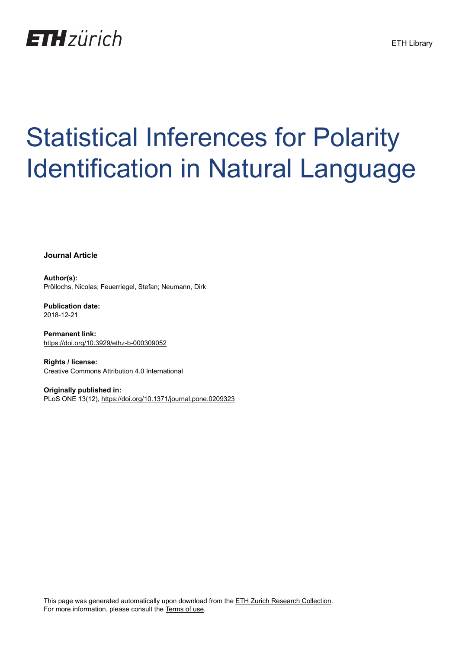

# Statistical Inferences for Polarity Identification in Natural Language

**Journal Article**

**Author(s):** Pröllochs, Nicolas; Feuerriegel, Stefan; Neumann, Dirk

**Publication date:** 2018-12-21

**Permanent link:** <https://doi.org/10.3929/ethz-b-000309052>

**Rights / license:** [Creative Commons Attribution 4.0 International](http://creativecommons.org/licenses/by/4.0/)

**Originally published in:** PLoS ONE 13(12), <https://doi.org/10.1371/journal.pone.0209323>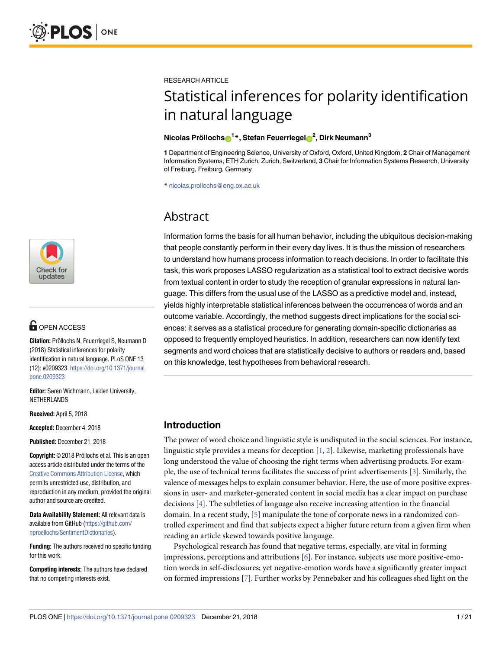

#### **G** OPEN ACCESS

**Citation:** Pröllochs N, Feuerriegel S, Neumann D (2018) Statistical inferences for polarity identification in natural language. PLoS ONE 13 (12): e0209323. [https://doi.org/10.1371/journal.](https://doi.org/10.1371/journal.pone.0209323) [pone.0209323](https://doi.org/10.1371/journal.pone.0209323)

**Editor:** Søren Wichmann, Leiden University, NETHERLANDS

**Received:** April 5, 2018

**Accepted:** December 4, 2018

**Published:** December 21, 2018

**Copyright:** © 2018 Pröllochs et al. This is an open access article distributed under the terms of the Creative Commons [Attribution](http://creativecommons.org/licenses/by/4.0/) License, which permits unrestricted use, distribution, and reproduction in any medium, provided the original author and source are credited.

**Data Availability Statement:** All relevant data is available from GitHub [\(https://github.com/](https://github.com/nproellochs/SentimentDictionaries) [nproellochs/SentimentDictionaries\)](https://github.com/nproellochs/SentimentDictionaries).

**Funding:** The authors received no specific funding for this work.

**Competing interests:** The authors have declared that no competing interests exist.

<span id="page-1-0"></span>RESEARCH ARTICLE

### Statistical inferences for polarity identification in natural language

#### $\frac{1}{2}$  **Nicolas**  $\frac{1}{2}$   $\frac{1}{2}$   $\frac{1}{2}$   $\frac{1}{2}$  **Stefan Feuerriegel** $\frac{1}{2}$   $\frac{2}{2}$  , Dirk Neumann $^3$

**1** Department of Engineering Science, University of Oxford, Oxford, United Kingdom, **2** Chair of Management Information Systems, ETH Zurich, Zurich, Switzerland, **3** Chair for Information Systems Research, University of Freiburg, Freiburg, Germany

\* nicolas.prollochs@eng.ox.ac.uk

#### Abstract

Information forms the basis for all human behavior, including the ubiquitous decision-making that people constantly perform in their every day lives. It is thus the mission of researchers to understand how humans process information to reach decisions. In order to facilitate this task, this work proposes LASSO regularization as a statistical tool to extract decisive words from textual content in order to study the reception of granular expressions in natural language. This differs from the usual use of the LASSO as a predictive model and, instead, yields highly interpretable statistical inferences between the occurrences of words and an outcome variable. Accordingly, the method suggests direct implications for the social sciences: it serves as a statistical procedure for generating domain-specific dictionaries as opposed to frequently employed heuristics. In addition, researchers can now identify text segments and word choices that are statistically decisive to authors or readers and, based on this knowledge, test hypotheses from behavioral research.

#### **Introduction**

The power of word choice and linguistic style is undisputed in the social sciences. For instance, linguistic style provides a means for deception [[1,](#page-19-0) [2\]](#page-19-0). Likewise, marketing professionals have long understood the value of choosing the right terms when advertising products. For example, the use of technical terms facilitates the success of print advertisements [\[3\]](#page-19-0). Similarly, the valence of messages helps to explain consumer behavior. Here, the use of more positive expressions in user- and marketer-generated content in social media has a clear impact on purchase decisions [\[4](#page-20-0)]. The subtleties of language also receive increasing attention in the financial domain. In a recent study, [[5\]](#page-20-0) manipulate the tone of corporate news in a randomized controlled experiment and find that subjects expect a higher future return from a given firm when reading an article skewed towards positive language.

Psychological research has found that negative terms, especially, are vital in forming impressions, perceptions and attributions [\[6\]](#page-20-0). For instance, subjects use more positive-emotion words in self-disclosures; yet negative-emotion words have a significantly greater impact on formed impressions [\[7\]](#page-20-0). Further works by Pennebaker and his colleagues shed light on the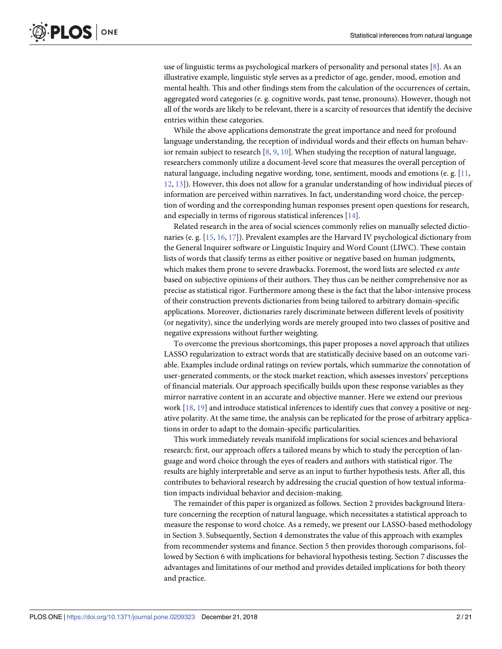<span id="page-2-0"></span>use of linguistic terms as psychological markers of personality and personal states [\[8\]](#page-20-0). As an illustrative example, linguistic style serves as a predictor of age, gender, mood, emotion and mental health. This and other findings stem from the calculation of the occurrences of certain, aggregated word categories (e. g. cognitive words, past tense, pronouns). However, though not all of the words are likely to be relevant, there is a scarcity of resources that identify the decisive entries within these categories.

While the above applications demonstrate the great importance and need for profound language understanding, the reception of individual words and their effects on human behavior remain subject to research [[8,](#page-20-0) [9,](#page-20-0) [10\]](#page-20-0). When studying the reception of natural language, researchers commonly utilize a document-level score that measures the overall perception of natural language, including negative wording, tone, sentiment, moods and emotions (e. g. [\[11,](#page-20-0) [12,](#page-20-0) [13](#page-20-0)]). However, this does not allow for a granular understanding of how individual pieces of information are perceived within narratives. In fact, understanding word choice, the perception of wording and the corresponding human responses present open questions for research, and especially in terms of rigorous statistical inferences [\[14\]](#page-20-0).

Related research in the area of social sciences commonly relies on manually selected dictionaries (e. g. [[15](#page-20-0), [16](#page-20-0), [17](#page-20-0)]). Prevalent examples are the Harvard IV psychological dictionary from the General Inquirer software or Linguistic Inquiry and Word Count (LIWC). These contain lists of words that classify terms as either positive or negative based on human judgments, which makes them prone to severe drawbacks. Foremost, the word lists are selected *ex ante* based on subjective opinions of their authors. They thus can be neither comprehensive nor as precise as statistical rigor. Furthermore among these is the fact that the labor-intensive process of their construction prevents dictionaries from being tailored to arbitrary domain-specific applications. Moreover, dictionaries rarely discriminate between different levels of positivity (or negativity), since the underlying words are merely grouped into two classes of positive and negative expressions without further weighting.

To overcome the previous shortcomings, this paper proposes a novel approach that utilizes LASSO regularization to extract words that are statistically decisive based on an outcome variable. Examples include ordinal ratings on review portals, which summarize the connotation of user-generated comments, or the stock market reaction, which assesses investors' perceptions of financial materials. Our approach specifically builds upon these response variables as they mirror narrative content in an accurate and objective manner. Here we extend our previous work [\[18,](#page-20-0) [19\]](#page-20-0) and introduce statistical inferences to identify cues that convey a positive or negative polarity. At the same time, the analysis can be replicated for the prose of arbitrary applications in order to adapt to the domain-specific particularities.

This work immediately reveals manifold implications for social sciences and behavioral research: first, our approach offers a tailored means by which to study the perception of language and word choice through the eyes of readers and authors with statistical rigor. The results are highly interpretable and serve as an input to further hypothesis tests. After all, this contributes to behavioral research by addressing the crucial question of how textual information impacts individual behavior and decision-making.

The remainder of this paper is organized as follows. Section 2 provides background literature concerning the reception of natural language, which necessitates a statistical approach to measure the response to word choice. As a remedy, we present our LASSO-based methodology in Section 3. Subsequently, Section 4 demonstrates the value of this approach with examples from recommender systems and finance. Section 5 then provides thorough comparisons, followed by Section 6 with implications for behavioral hypothesis testing. Section 7 discusses the advantages and limitations of our method and provides detailed implications for both theory and practice.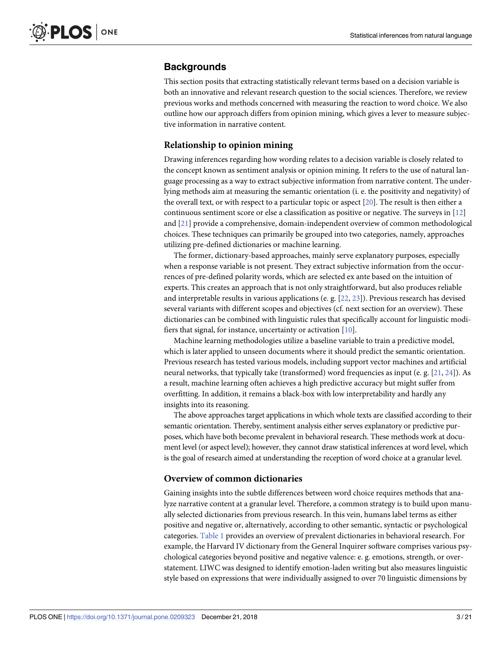#### <span id="page-3-0"></span>**Backgrounds**

This section posits that extracting statistically relevant terms based on a decision variable is both an innovative and relevant research question to the social sciences. Therefore, we review previous works and methods concerned with measuring the reaction to word choice. We also outline how our approach differs from opinion mining, which gives a lever to measure subjective information in narrative content.

#### **Relationship to opinion mining**

Drawing inferences regarding how wording relates to a decision variable is closely related to the concept known as sentiment analysis or opinion mining. It refers to the use of natural language processing as a way to extract subjective information from narrative content. The underlying methods aim at measuring the semantic orientation (i. e. the positivity and negativity) of the overall text, or with respect to a particular topic or aspect  $[20]$  $[20]$  $[20]$ . The result is then either a continuous sentiment score or else a classification as positive or negative. The surveys in [\[12\]](#page-20-0) and [[21](#page-20-0)] provide a comprehensive, domain-independent overview of common methodological choices. These techniques can primarily be grouped into two categories, namely, approaches utilizing pre-defined dictionaries or machine learning.

The former, dictionary-based approaches, mainly serve explanatory purposes, especially when a response variable is not present. They extract subjective information from the occurrences of pre-defined polarity words, which are selected ex ante based on the intuition of experts. This creates an approach that is not only straightforward, but also produces reliable and interpretable results in various applications (e. g. [[22](#page-20-0), [23](#page-20-0)]). Previous research has devised several variants with different scopes and objectives (cf. next section for an overview). These dictionaries can be combined with linguistic rules that specifically account for linguistic modifiers that signal, for instance, uncertainty or activation [\[10\]](#page-20-0).

Machine learning methodologies utilize a baseline variable to train a predictive model, which is later applied to unseen documents where it should predict the semantic orientation. Previous research has tested various models, including support vector machines and artificial neural networks, that typically take (transformed) word frequencies as input (e. g. [\[21,](#page-20-0) [24\]](#page-20-0)). As a result, machine learning often achieves a high predictive accuracy but might suffer from overfitting. In addition, it remains a black-box with low interpretability and hardly any insights into its reasoning.

The above approaches target applications in which whole texts are classified according to their semantic orientation. Thereby, sentiment analysis either serves explanatory or predictive purposes, which have both become prevalent in behavioral research. These methods work at document level (or aspect level); however, they cannot draw statistical inferences at word level, which is the goal of research aimed at understanding the reception of word choice at a granular level.

#### **Overview of common dictionaries**

Gaining insights into the subtle differences between word choice requires methods that analyze narrative content at a granular level. Therefore, a common strategy is to build upon manually selected dictionaries from previous research. In this vein, humans label terms as either positive and negative or, alternatively, according to other semantic, syntactic or psychological categories. [Table](#page-4-0) 1 provides an overview of prevalent dictionaries in behavioral research. For example, the Harvard IV dictionary from the General Inquirer software comprises various psychological categories beyond positive and negative valence: e. g. emotions, strength, or overstatement. LIWC was designed to identify emotion-laden writing but also measures linguistic style based on expressions that were individually assigned to over 70 linguistic dimensions by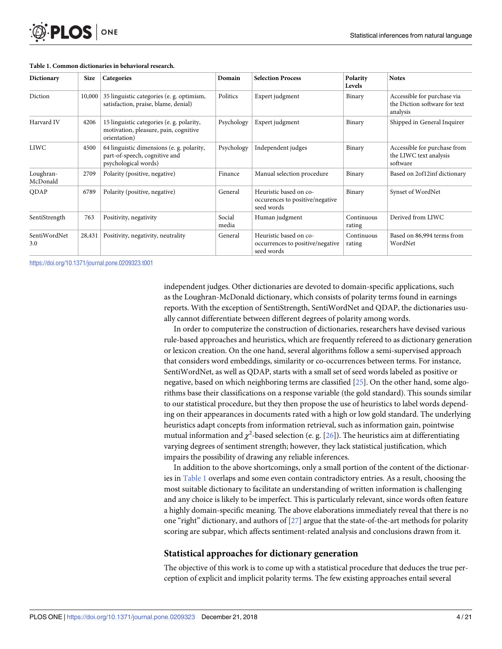| Dictionary            | Size   | Categories                                                                                         | Domain          | <b>Selection Process</b>                                                 | Polarity<br>Levels                        | <b>Notes</b>                                                             |
|-----------------------|--------|----------------------------------------------------------------------------------------------------|-----------------|--------------------------------------------------------------------------|-------------------------------------------|--------------------------------------------------------------------------|
| Diction               | 10,000 | 35 linguistic categories (e. g. optimism,<br>satisfaction, praise, blame, denial)                  | Politics        | Expert judgment                                                          | Binary                                    | Accessible for purchase via<br>the Diction software for text<br>analysis |
| Harvard IV            | 4206   | 15 linguistic categories (e. g. polarity,<br>motivation, pleasure, pain, cognitive<br>orientation) | Psychology      | Expert judgment                                                          | Binary                                    | Shipped in General Inquirer                                              |
| <b>LIWC</b>           | 4500   | 64 linguistic dimensions (e. g. polarity,<br>part-of-speech, cognitive and<br>psychological words) | Psychology      | Independent judges                                                       | Binary                                    | Accessible for purchase from<br>the LIWC text analysis<br>software       |
| Loughran-<br>McDonald | 2709   | Polarity (positive, negative)                                                                      | Finance         | Manual selection procedure                                               | Based on 2of12inf dictionary<br>Binary    |                                                                          |
| <b>ODAP</b>           | 6789   | Polarity (positive, negative)                                                                      | General         | Heuristic based on co-<br>occurences to positive/negative<br>seed words  | Binary                                    | Synset of WordNet                                                        |
| SentiStrength         | 763    | Positivity, negativity                                                                             | Social<br>media | Human judgment                                                           | Derived from LIWC<br>Continuous<br>rating |                                                                          |
| SentiWordNet<br>3.0   | 28,431 | Positivity, negativity, neutrality                                                                 | General         | Heuristic based on co-<br>occurrences to positive/negative<br>seed words | Continuous<br>rating                      | Based on 86,994 terms from<br>WordNet                                    |

#### <span id="page-4-0"></span>**[Table](#page-3-0) 1. Common dictionaries in behavioral research.**

<https://doi.org/10.1371/journal.pone.0209323.t001>

independent judges. Other dictionaries are devoted to domain-specific applications, such as the Loughran-McDonald dictionary, which consists of polarity terms found in earnings reports. With the exception of SentiStrength, SentiWordNet and QDAP, the dictionaries usually cannot differentiate between different degrees of polarity among words.

In order to computerize the construction of dictionaries, researchers have devised various rule-based approaches and heuristics, which are frequently refereed to as dictionary generation or lexicon creation. On the one hand, several algorithms follow a semi-supervised approach that considers word embeddings, similarity or co-occurrences between terms. For instance, SentiWordNet, as well as QDAP, starts with a small set of seed words labeled as positive or negative, based on which neighboring terms are classified [[25](#page-20-0)]. On the other hand, some algorithms base their classifications on a response variable (the gold standard). This sounds similar to our statistical procedure, but they then propose the use of heuristics to label words depending on their appearances in documents rated with a high or low gold standard. The underlying heuristics adapt concepts from information retrieval, such as information gain, pointwise mutual information and  $\chi^2$ -based selection (e. g. [\[26\]](#page-20-0)). The heuristics aim at differentiating varying degrees of sentiment strength; however, they lack statistical justification, which impairs the possibility of drawing any reliable inferences.

In addition to the above shortcomings, only a small portion of the content of the dictionaries in Table 1 overlaps and some even contain contradictory entries. As a result, choosing the most suitable dictionary to facilitate an understanding of written information is challenging and any choice is likely to be imperfect. This is particularly relevant, since words often feature a highly domain-specific meaning. The above elaborations immediately reveal that there is no one "right" dictionary, and authors of  $[27]$  argue that the state-of-the-art methods for polarity scoring are subpar, which affects sentiment-related analysis and conclusions drawn from it.

#### **Statistical approaches for dictionary generation**

The objective of this work is to come up with a statistical procedure that deduces the true perception of explicit and implicit polarity terms. The few existing approaches entail several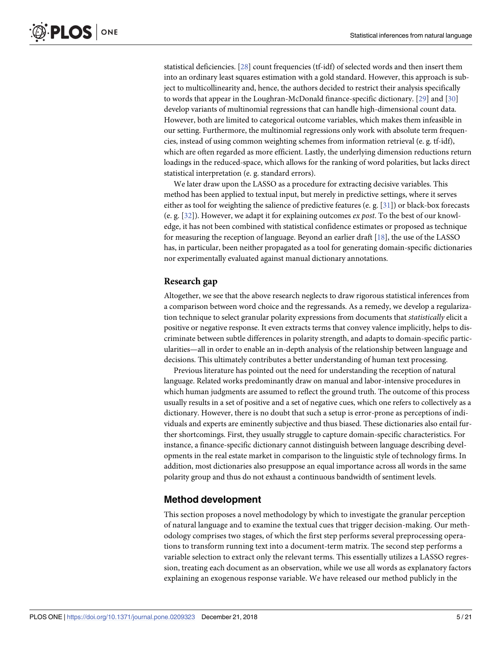<span id="page-5-0"></span>statistical deficiencies. [\[28\]](#page-21-0) count frequencies (tf-idf) of selected words and then insert them into an ordinary least squares estimation with a gold standard. However, this approach is subject to multicollinearity and, hence, the authors decided to restrict their analysis specifically to words that appear in the Loughran-McDonald finance-specific dictionary. [[29](#page-21-0)] and [\[30\]](#page-21-0) develop variants of multinomial regressions that can handle high-dimensional count data. However, both are limited to categorical outcome variables, which makes them infeasible in our setting. Furthermore, the multinomial regressions only work with absolute term frequencies, instead of using common weighting schemes from information retrieval (e. g. tf-idf), which are often regarded as more efficient. Lastly, the underlying dimension reductions return loadings in the reduced-space, which allows for the ranking of word polarities, but lacks direct statistical interpretation (e. g. standard errors).

We later draw upon the LASSO as a procedure for extracting decisive variables. This method has been applied to textual input, but merely in predictive settings, where it serves either as tool for weighting the salience of predictive features (e. g. [\[31\]](#page-21-0)) or black-box forecasts (e. g. [[32](#page-21-0)]). However, we adapt it for explaining outcomes *ex post*. To the best of our knowledge, it has not been combined with statistical confidence estimates or proposed as technique for measuring the reception of language. Beyond an earlier draft [\[18](#page-20-0)], the use of the LASSO has, in particular, been neither propagated as a tool for generating domain-specific dictionaries nor experimentally evaluated against manual dictionary annotations.

#### **Research gap**

Altogether, we see that the above research neglects to draw rigorous statistical inferences from a comparison between word choice and the regressands. As a remedy, we develop a regularization technique to select granular polarity expressions from documents that *statistically* elicit a positive or negative response. It even extracts terms that convey valence implicitly, helps to discriminate between subtle differences in polarity strength, and adapts to domain-specific particularities—all in order to enable an in-depth analysis of the relationship between language and decisions. This ultimately contributes a better understanding of human text processing.

Previous literature has pointed out the need for understanding the reception of natural language. Related works predominantly draw on manual and labor-intensive procedures in which human judgments are assumed to reflect the ground truth. The outcome of this process usually results in a set of positive and a set of negative cues, which one refers to collectively as a dictionary. However, there is no doubt that such a setup is error-prone as perceptions of individuals and experts are eminently subjective and thus biased. These dictionaries also entail further shortcomings. First, they usually struggle to capture domain-specific characteristics. For instance, a finance-specific dictionary cannot distinguish between language describing developments in the real estate market in comparison to the linguistic style of technology firms. In addition, most dictionaries also presuppose an equal importance across all words in the same polarity group and thus do not exhaust a continuous bandwidth of sentiment levels.

#### **Method development**

This section proposes a novel methodology by which to investigate the granular perception of natural language and to examine the textual cues that trigger decision-making. Our methodology comprises two stages, of which the first step performs several preprocessing operations to transform running text into a document-term matrix. The second step performs a variable selection to extract only the relevant terms. This essentially utilizes a LASSO regression, treating each document as an observation, while we use all words as explanatory factors explaining an exogenous response variable. We have released our method publicly in the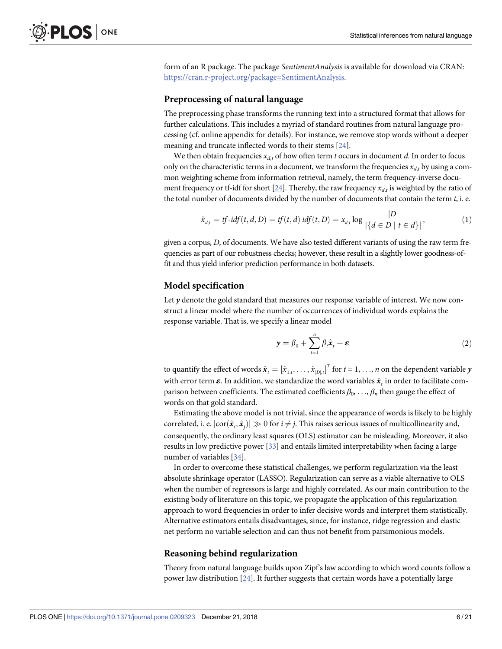<span id="page-6-0"></span>form of an R package. The package *SentimentAnalysis* is available for download via CRAN: [https://cran.r-project.org/package=SentimentAnalysis.](https://cran.r-project.org/package=SentimentAnalysis)

#### **Preprocessing of natural language**

The preprocessing phase transforms the running text into a structured format that allows for further calculations. This includes a myriad of standard routines from natural language processing (cf. online appendix for details). For instance, we remove stop words without a deeper meaning and truncate inflected words to their stems [[24](#page-20-0)].

We then obtain frequencies *xd*,*<sup>t</sup>* of how often term *t* occurs in document *d*. In order to focus only on the characteristic terms in a document, we transform the frequencies  $x_{dt}$  by using a common weighting scheme from information retrieval, namely, the term frequency-inverse docu-ment frequency or tf-idf for short [\[24](#page-20-0)]. Thereby, the raw frequency  $x_{d,t}$  is weighted by the ratio of the total number of documents divided by the number of documents that contain the term *t*, i. e.

$$
\hat{x}_{d,t} = tf \cdot idf(t, d, D) = tf(t, d) \cdot idf(t, D) = x_{d,t} \log \frac{|D|}{|\{d \in D \mid t \in d\}|},\tag{1}
$$

given a corpus, *D*, of documents. We have also tested different variants of using the raw term frequencies as part of our robustness checks; however, these result in a slightly lower goodness-offit and thus yield inferior prediction performance in both datasets.

#### **Model specification**

Let y denote the gold standard that measures our response variable of interest. We now construct a linear model where the number of occurrences of individual words explains the response variable. That is, we specify a linear model

$$
\mathbf{y} = \beta_0 + \sum_{t=1}^n \beta_t \hat{\mathbf{x}}_t + \boldsymbol{\varepsilon}
$$
 (2)

to quantify the effect of words  $\hat{\bm{x}}_t = \left[\hat{x}_{1,t}, \dots, \hat{x}_{|D|,t}\right]^T$  for  $t = 1, \dots, n$  on the dependent variable  $y$ with error term  $\varepsilon$ . In addition, we standardize the word variables  $\hat{x}$ , in order to facilitate comparison between coefficients. The estimated coefficients  $\beta_0$ , . . .,  $\beta_n$  then gauge the effect of words on that gold standard.

Estimating the above model is not trivial, since the appearance of words is likely to be highly correlated, i. e.  $|\text{cor}(\hat{\bm{x}}_i, \hat{\bm{x}}_j)| \gg 0$  for  $i \neq j$ . This raises serious issues of multicollinearity and, consequently, the ordinary least squares (OLS) estimator can be misleading. Moreover, it also results in low predictive power [[33](#page-21-0)] and entails limited interpretability when facing a large number of variables [[34](#page-21-0)].

In order to overcome these statistical challenges, we perform regularization via the least absolute shrinkage operator (LASSO). Regularization can serve as a viable alternative to OLS when the number of regressors is large and highly correlated. As our main contribution to the existing body of literature on this topic, we propagate the application of this regularization approach to word frequencies in order to infer decisive words and interpret them statistically. Alternative estimators entails disadvantages, since, for instance, ridge regression and elastic net perform no variable selection and can thus not benefit from parsimonious models.

#### **Reasoning behind regularization**

Theory from natural language builds upon Zipf's law according to which word counts follow a power law distribution [\[24\]](#page-20-0). It further suggests that certain words have a potentially large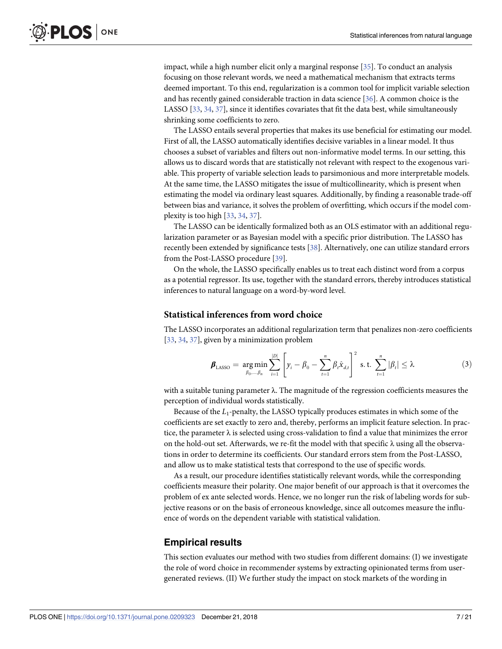<span id="page-7-0"></span>impact, while a high number elicit only a marginal response [\[35\]](#page-21-0). To conduct an analysis focusing on those relevant words, we need a mathematical mechanism that extracts terms deemed important. To this end, regularization is a common tool for implicit variable selection and has recently gained considerable traction in data science [[36](#page-21-0)]. A common choice is the LASSO [[33](#page-21-0), [34](#page-21-0), [37](#page-21-0)], since it identifies covariates that fit the data best, while simultaneously shrinking some coefficients to zero.

The LASSO entails several properties that makes its use beneficial for estimating our model. First of all, the LASSO automatically identifies decisive variables in a linear model. It thus chooses a subset of variables and filters out non-informative model terms. In our setting, this allows us to discard words that are statistically not relevant with respect to the exogenous variable. This property of variable selection leads to parsimonious and more interpretable models. At the same time, the LASSO mitigates the issue of multicollinearity, which is present when estimating the model via ordinary least squares. Additionally, by finding a reasonable trade-off between bias and variance, it solves the problem of overfitting, which occurs if the model complexity is too high [\[33,](#page-21-0) [34,](#page-21-0) [37\]](#page-21-0).

The LASSO can be identically formalized both as an OLS estimator with an additional regularization parameter or as Bayesian model with a specific prior distribution. The LASSO has recently been extended by significance tests [\[38\]](#page-21-0). Alternatively, one can utilize standard errors from the Post-LASSO procedure [\[39\]](#page-21-0).

On the whole, the LASSO specifically enables us to treat each distinct word from a corpus as a potential regressor. Its use, together with the standard errors, thereby introduces statistical inferences to natural language on a word-by-word level.

#### **Statistical inferences from word choice**

The LASSO incorporates an additional regularization term that penalizes non-zero coefficients [\[33,](#page-21-0) [34,](#page-21-0) [37\]](#page-21-0), given by a minimization problem

$$
\boldsymbol{\beta}_{\text{LASSO}} = \underset{\beta_0,\dots,\beta_n}{\arg\min} \sum_{i=1}^{|D|} \left[ y_i - \beta_0 - \sum_{t=1}^n \beta_t \hat{x}_{d,t} \right]^2 \text{ s.t. } \sum_{t=1}^n |\beta_t| \leq \lambda \tag{3}
$$

with a suitable tuning parameter  $\lambda$ . The magnitude of the regression coefficients measures the perception of individual words statistically.

Because of the *L*1-penalty, the LASSO typically produces estimates in which some of the coefficients are set exactly to zero and, thereby, performs an implicit feature selection. In practice, the parameter  $\lambda$  is selected using cross-validation to find a value that minimizes the error on the hold-out set. Afterwards, we re-fit the model with that specific  $\lambda$  using all the observations in order to determine its coefficients. Our standard errors stem from the Post-LASSO, and allow us to make statistical tests that correspond to the use of specific words.

As a result, our procedure identifies statistically relevant words, while the corresponding coefficients measure their polarity. One major benefit of our approach is that it overcomes the problem of ex ante selected words. Hence, we no longer run the risk of labeling words for subjective reasons or on the basis of erroneous knowledge, since all outcomes measure the influence of words on the dependent variable with statistical validation.

#### **Empirical results**

This section evaluates our method with two studies from different domains: (I) we investigate the role of word choice in recommender systems by extracting opinionated terms from usergenerated reviews. (II) We further study the impact on stock markets of the wording in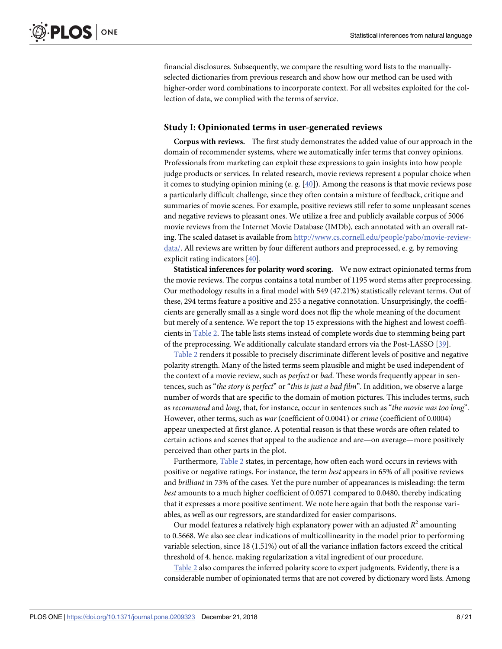<span id="page-8-0"></span>financial disclosures. Subsequently, we compare the resulting word lists to the manuallyselected dictionaries from previous research and show how our method can be used with higher-order word combinations to incorporate context. For all websites exploited for the collection of data, we complied with the terms of service.

#### **Study I: Opinionated terms in user-generated reviews**

**Corpus with reviews.** The first study demonstrates the added value of our approach in the domain of recommender systems, where we automatically infer terms that convey opinions. Professionals from marketing can exploit these expressions to gain insights into how people judge products or services. In related research, movie reviews represent a popular choice when it comes to studying opinion mining (e. g. [\[40\]](#page-21-0)). Among the reasons is that movie reviews pose a particularly difficult challenge, since they often contain a mixture of feedback, critique and summaries of movie scenes. For example, positive reviews still refer to some unpleasant scenes and negative reviews to pleasant ones. We utilize a free and publicly available corpus of 5006 movie reviews from the Internet Movie Database (IMDb), each annotated with an overall rating. The scaled dataset is available from [http://www.cs.cornell.edu/people/pabo/movie-review](http://www.cs.cornell.edu/people/pabo/movie-review-data/)[data/](http://www.cs.cornell.edu/people/pabo/movie-review-data/). All reviews are written by four different authors and preprocessed, e. g. by removing explicit rating indicators [[40](#page-21-0)].

**Statistical inferences for polarity word scoring.** We now extract opinionated terms from the movie reviews. The corpus contains a total number of 1195 word stems after preprocessing. Our methodology results in a final model with 549 (47.21%) statistically relevant terms. Out of these, 294 terms feature a positive and 255 a negative connotation. Unsurprisingly, the coefficients are generally small as a single word does not flip the whole meaning of the document but merely of a sentence. We report the top 15 expressions with the highest and lowest coefficients in [Table](#page-9-0) 2. The table lists stems instead of complete words due to stemming being part of the preprocessing. We additionally calculate standard errors via the Post-LASSO [\[39\]](#page-21-0).

[Table](#page-9-0) 2 renders it possible to precisely discriminate different levels of positive and negative polarity strength. Many of the listed terms seem plausible and might be used independent of the context of a movie review, such as *perfect* or *bad*. These words frequently appear in sentences, such as "*the story is perfect*" or "*this is just a bad film*". In addition, we observe a large number of words that are specific to the domain of motion pictures. This includes terms, such as *recommend* and *long*, that, for instance, occur in sentences such as "*the movie was too long*". However, other terms, such as *war* (coefficient of 0.0041) or *crime* (coefficient of 0.0004) appear unexpected at first glance. A potential reason is that these words are often related to certain actions and scenes that appeal to the audience and are—on average—more positively perceived than other parts in the plot.

Furthermore, [Table](#page-9-0) 2 states, in percentage, how often each word occurs in reviews with positive or negative ratings. For instance, the term *best* appears in 65% of all positive reviews and *brilliant* in 73% of the cases. Yet the pure number of appearances is misleading: the term *best* amounts to a much higher coefficient of 0.0571 compared to 0.0480, thereby indicating that it expresses a more positive sentiment. We note here again that both the response variables, as well as our regressors, are standardized for easier comparisons.

Our model features a relatively high explanatory power with an adjusted  $R^2$  amounting to 0.5668. We also see clear indications of multicollinearity in the model prior to performing variable selection, since 18 (1.51%) out of all the variance inflation factors exceed the critical threshold of 4, hence, making regularization a vital ingredient of our procedure.

[Table](#page-9-0) 2 also compares the inferred polarity score to expert judgments. Evidently, there is a considerable number of opinionated terms that are not covered by dictionary word lists. Among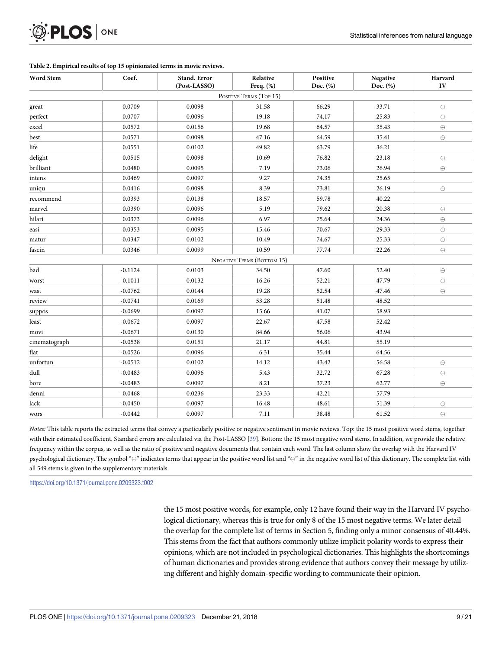## <span id="page-9-0"></span>**PLOS** ONE

#### **[Table](#page-8-0) 2. Empirical results of top 15 opinionated terms in movie reviews.**

| <b>Word Stem</b> | Coef.     | <b>Stand. Error</b><br>(Post-LASSO) | Relative<br>Freq. (%)      | Positive<br>Doc. (%) | Negative<br>Doc. (%) | Harvard<br>IV |
|------------------|-----------|-------------------------------------|----------------------------|----------------------|----------------------|---------------|
|                  |           |                                     | POSITIVE TERMS (TOP 15)    |                      |                      |               |
| great            | 0.0709    | 0.0098                              | 31.58                      | 66.29                | 33.71                | $\oplus$      |
| perfect          | 0.0707    | 0.0096                              | 19.18                      | 74.17                | 25.83                | $\oplus$      |
| excel            | 0.0572    | 0.0156                              | 19.68                      | 64.57                | 35.43                | $\oplus$      |
| best             | 0.0571    | 0.0098                              | 47.16                      | 64.59                | 35.41                | $\oplus$      |
| life             | 0.0551    | 0.0102                              | 49.82                      | 63.79                | 36.21                |               |
| delight          | 0.0515    | 0.0098                              | 10.69                      | 76.82                | 23.18                | $\oplus$      |
| brilliant        | 0.0480    | 0.0095                              | 7.19                       | 73.06                | 26.94                | $\oplus$      |
| intens           | 0.0469    | 0.0097                              | 9.27                       | 74.35                | 25.65                |               |
| uniqu            | 0.0416    | 0.0098                              | 8.39                       | 73.81                | 26.19                | $\oplus$      |
| recommend        | 0.0393    | 0.0138                              | 18.57                      | 59.78                | 40.22                |               |
| marvel           | 0.0390    | 0.0096                              | 5.19                       | 79.62                | 20.38                | $\oplus$      |
| hilari           | 0.0373    | 0.0096                              | 6.97                       | 75.64                | 24.36                | $\oplus$      |
| $_{\rm easi}$    | 0.0353    | 0.0095                              | 15.46                      | 70.67                | 29.33                | $\oplus$      |
| matur            | 0.0347    | 0.0102                              | 10.49                      | 74.67                | 25.33                | $\oplus$      |
| fascin           | 0.0346    | 0.0099                              | 10.59                      | 77.74                | 22.26                | $\oplus$      |
|                  |           |                                     | NEGATIVE TERMS (BOTTOM 15) |                      |                      |               |
| bad              | $-0.1124$ | 0.0103                              | 34.50                      | 47.60                | 52.40                | $\ominus$     |
| worst            | $-0.1011$ | 0.0132                              | 16.26                      | 52.21                | 47.79                | $\ominus$     |
| wast             | $-0.0762$ | 0.0144                              | 19.28                      | 52.54                | 47.46                | $\ominus$     |
| review           | $-0.0741$ | 0.0169                              | 53.28                      | 51.48                | 48.52                |               |
| suppos           | $-0.0699$ | 0.0097                              | 15.66                      | 41.07                | 58.93                |               |
| least            | $-0.0672$ | 0.0097                              | 22.67                      | 47.58                | 52.42                |               |
| movi             | $-0.0671$ | 0.0130                              | 84.66                      | 56.06                | 43.94                |               |
| cinematograph    | $-0.0538$ | 0.0151                              | 21.17                      | 44.81                | 55.19                |               |
| flat             | $-0.0526$ | 0.0096                              | 6.31                       | 35.44                | 64.56                |               |
| unfortun         | $-0.0512$ | 0.0102                              | 14.12                      | 43.42                | 56.58                | $\ominus$     |
| dull             | $-0.0483$ | 0.0096                              | 5.43                       | 32.72                | 67.28                | $\ominus$     |
| bore             | $-0.0483$ | 0.0097                              | 8.21                       | 37.23                | 62.77                | $\ominus$     |
| denni            | $-0.0468$ | 0.0236                              | 23.33                      | 42.21                | 57.79                |               |
| lack             | $-0.0450$ | 0.0097                              | 16.48                      | 48.61                | 51.39                | $\ominus$     |
| wors             | $-0.0442$ | 0.0097                              | 7.11                       | 38.48                | 61.52                | $\ominus$     |

*Notes:* This table reports the extracted terms that convey a particularly positive or negative sentiment in movie reviews. Top: the 15 most positive word stems, together with their estimated coefficient. Standard errors are calculated via the Post-LASSO [[39](#page-21-0)]. Bottom: the 15 most negative word stems. In addition, we provide the relative frequency within the corpus, as well as the ratio of positive and negative documents that contain each word. The last column show the overlap with the Harvard IV psychological dictionary. The symbol "�" indicates terms that appear in the positive word list and "�" in the negative word list of this dictionary. The complete list with all 549 stems is given in the supplementary materials.

<https://doi.org/10.1371/journal.pone.0209323.t002>

the 15 most positive words, for example, only 12 have found their way in the Harvard IV psychological dictionary, whereas this is true for only 8 of the 15 most negative terms. We later detail the overlap for the complete list of terms in Section 5, finding only a minor consensus of 40.44%. This stems from the fact that authors commonly utilize implicit polarity words to express their opinions, which are not included in psychological dictionaries. This highlights the shortcomings of human dictionaries and provides strong evidence that authors convey their message by utilizing different and highly domain-specific wording to communicate their opinion.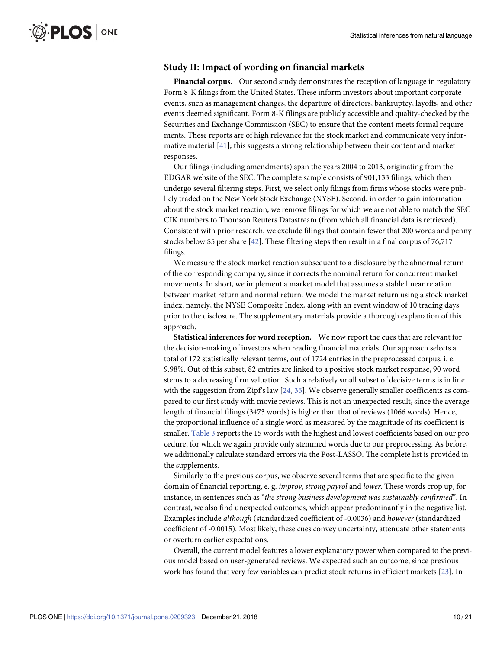#### <span id="page-10-0"></span>**Study II: Impact of wording on financial markets**

**Financial corpus.** Our second study demonstrates the reception of language in regulatory Form 8-K filings from the United States. These inform investors about important corporate events, such as management changes, the departure of directors, bankruptcy, layoffs, and other events deemed significant. Form 8-K filings are publicly accessible and quality-checked by the Securities and Exchange Commission (SEC) to ensure that the content meets formal requirements. These reports are of high relevance for the stock market and communicate very informative material [[41](#page-21-0)]; this suggests a strong relationship between their content and market responses.

Our filings (including amendments) span the years 2004 to 2013, originating from the EDGAR website of the SEC. The complete sample consists of 901,133 filings, which then undergo several filtering steps. First, we select only filings from firms whose stocks were publicly traded on the New York Stock Exchange (NYSE). Second, in order to gain information about the stock market reaction, we remove filings for which we are not able to match the SEC CIK numbers to Thomson Reuters Datastream (from which all financial data is retrieved). Consistent with prior research, we exclude filings that contain fewer that 200 words and penny stocks below \$5 per share [\[42\]](#page-21-0). These filtering steps then result in a final corpus of 76,717 filings.

We measure the stock market reaction subsequent to a disclosure by the abnormal return of the corresponding company, since it corrects the nominal return for concurrent market movements. In short, we implement a market model that assumes a stable linear relation between market return and normal return. We model the market return using a stock market index, namely, the NYSE Composite Index, along with an event window of 10 trading days prior to the disclosure. The supplementary materials provide a thorough explanation of this approach.

**Statistical inferences for word reception.** We now report the cues that are relevant for the decision-making of investors when reading financial materials. Our approach selects a total of 172 statistically relevant terms, out of 1724 entries in the preprocessed corpus, i. e. 9.98%. Out of this subset, 82 entries are linked to a positive stock market response, 90 word stems to a decreasing firm valuation. Such a relatively small subset of decisive terms is in line with the suggestion from Zipf's law  $[24, 35]$  $[24, 35]$  $[24, 35]$ . We observe generally smaller coefficients as compared to our first study with movie reviews. This is not an unexpected result, since the average length of financial filings (3473 words) is higher than that of reviews (1066 words). Hence, the proportional influence of a single word as measured by the magnitude of its coefficient is smaller. [Table](#page-11-0) 3 reports the 15 words with the highest and lowest coefficients based on our procedure, for which we again provide only stemmed words due to our preprocessing. As before, we additionally calculate standard errors via the Post-LASSO. The complete list is provided in the supplements.

Similarly to the previous corpus, we observe several terms that are specific to the given domain of financial reporting, e. g. *improv*, *strong payrol* and *lower*. These words crop up, for instance, in sentences such as "*the strong business development was sustainably confirmed*". In contrast, we also find unexpected outcomes, which appear predominantly in the negative list. Examples include *although* (standardized coefficient of -0.0036) and *however* (standardized coefficient of -0.0015). Most likely, these cues convey uncertainty, attenuate other statements or overturn earlier expectations.

Overall, the current model features a lower explanatory power when compared to the previous model based on user-generated reviews. We expected such an outcome, since previous work has found that very few variables can predict stock returns in efficient markets [\[23\]](#page-20-0). In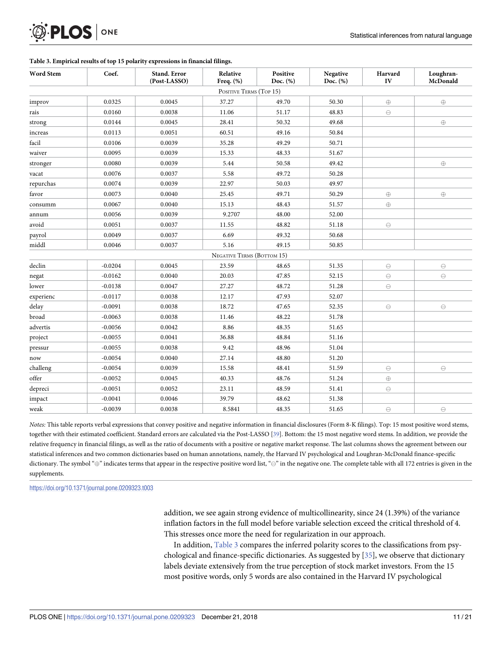#### <span id="page-11-0"></span>**[Table](#page-10-0) 3. Empirical results of top 15 polarity expressions in financial filings.**

| <b>Word Stem</b> | Coef.     | Stand. Error<br>(Post-LASSO) | Relative<br>Freq. (%)      | Positive<br>Doc. (%) | Negative<br>Doc. (%) | Harvard<br>IV | Loughran-<br>McDonald |
|------------------|-----------|------------------------------|----------------------------|----------------------|----------------------|---------------|-----------------------|
|                  |           |                              | POSITIVE TERMS (TOP 15)    |                      |                      |               |                       |
| improv           | 0.0325    | 0.0045                       | 37.27                      | 49.70                | 50.30                | $\oplus$      | $\oplus$              |
| rais             | 0.0160    | 0.0038                       | 11.06                      | 51.17                | 48.83                | $\ominus$     |                       |
| strong           | 0.0144    | 0.0045                       | 28.41                      | 50.32                | 49.68                |               | $\oplus$              |
| increas          | 0.0113    | 0.0051                       | 60.51                      | 49.16                | 50.84                |               |                       |
| facil            | 0.0106    | 0.0039                       | 35.28                      | 49.29                | 50.71                |               |                       |
| waiver           | 0.0095    | 0.0039                       | 15.33                      | 48.33                | 51.67                |               |                       |
| stronger         | 0.0080    | 0.0039                       | 5.44                       | 50.58                | 49.42                |               | $\oplus$              |
| vacat            | 0.0076    | 0.0037                       | 5.58                       | 49.72                | 50.28                |               |                       |
| repurchas        | 0.0074    | 0.0039                       | 22.97                      | 50.03                | 49.97                |               |                       |
| favor            | 0.0073    | 0.0040                       | 25.45                      | 49.71                | 50.29                | $\oplus$      | $\oplus$              |
| consumm          | 0.0067    | 0.0040                       | 15.13                      | 48.43                | 51.57                | $\oplus$      |                       |
| annum            | 0.0056    | 0.0039                       | 9.2707                     | 48.00                | 52.00                |               |                       |
| avoid            | 0.0051    | 0.0037                       | 11.55                      | 48.82                | 51.18                | $\ominus$     |                       |
| payrol           | 0.0049    | 0.0037                       | 6.69                       | 49.32                | 50.68                |               |                       |
| middl            | 0.0046    | 0.0037                       | 5.16                       | 49.15                | 50.85                |               |                       |
|                  |           |                              | NEGATIVE TERMS (BOTTOM 15) |                      |                      |               |                       |
| declin           | $-0.0204$ | 0.0045                       | 23.59                      | 48.65                | 51.35                | $\ominus$     | $\ominus$             |
| negat            | $-0.0162$ | 0.0040                       | 20.03                      | 47.85                | 52.15                | $\ominus$     | $\ominus$             |
| lower            | $-0.0138$ | 0.0047                       | 27.27                      | 48.72                | 51.28                | $\ominus$     |                       |
| experienc        | $-0.0117$ | 0.0038                       | 12.17                      | 47.93                | 52.07                |               |                       |
| delay            | $-0.0091$ | 0.0038                       | 18.72                      | 47.65                | 52.35                | $\ominus$     | $\ominus$             |
| broad            | $-0.0063$ | 0.0038                       | 11.46                      | 48.22                | 51.78                |               |                       |
| advertis         | $-0.0056$ | 0.0042                       | 8.86                       | 48.35                | 51.65                |               |                       |
| project          | $-0.0055$ | 0.0041                       | 36.88                      | 48.84                | 51.16                |               |                       |
| pressur          | $-0.0055$ | 0.0038                       | 9.42                       | 48.96                | 51.04                |               |                       |
| now              | $-0.0054$ | 0.0040                       | 27.14                      | 48.80                | 51.20                |               |                       |
| challeng         | $-0.0054$ | 0.0039                       | 15.58                      | 48.41                | 51.59                | $\ominus$     | $\ominus$             |
| offer            | $-0.0052$ | 0.0045                       | 40.33                      | 48.76                | 51.24                | $\oplus$      |                       |
| depreci          | $-0.0051$ | 0.0052                       | 23.11                      | 48.59                | 51.41                | $\ominus$     |                       |
| $\mbox{impact}$  | $-0.0041$ | 0.0046                       | 39.79                      | 48.62                | 51.38                |               |                       |
| weak             | $-0.0039$ | 0.0038                       | 8.5841                     | 48.35                | 51.65                | $\ominus$     | $\ominus$             |

*Notes:* This table reports verbal expressions that convey positive and negative information in financial disclosures (Form 8-K filings). Top: 15 most positive word stems, together with their estimated coefficient. Standard errors are calculated via the Post-LASSO [\[39\]](#page-21-0). Bottom: the 15 most negative word stems. In addition, we provide the relative frequency in financial filings, as well as the ratio of documents with a positive or negative market response. The last columns shows the agreement between our statistical inferences and two common dictionaries based on human annotations, namely, the Harvard IV psychological and Loughran-McDonald finance-specific dictionary. The symbol " $\oplus$ " indicates terms that appear in the respective positive word list, " $\ominus$ " in the negative one. The complete table with all 172 entries is given in the supplements.

<https://doi.org/10.1371/journal.pone.0209323.t003>

addition, we see again strong evidence of multicollinearity, since 24 (1.39%) of the variance inflation factors in the full model before variable selection exceed the critical threshold of 4. This stresses once more the need for regularization in our approach.

In addition, Table 3 compares the inferred polarity scores to the classifications from psychological and finance-specific dictionaries. As suggested by [[35](#page-21-0)], we observe that dictionary labels deviate extensively from the true perception of stock market investors. From the 15 most positive words, only 5 words are also contained in the Harvard IV psychological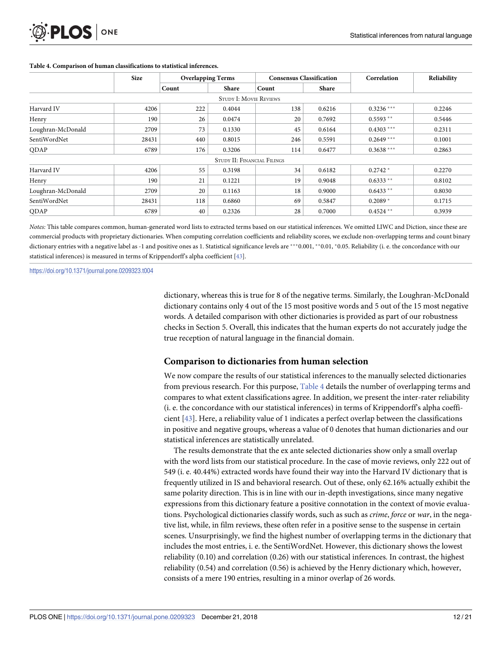|                   | <b>Size</b> | <b>Overlapping Terms</b> |                               | <b>Consensus Classification</b> |              | Correlation  | Reliability |
|-------------------|-------------|--------------------------|-------------------------------|---------------------------------|--------------|--------------|-------------|
|                   |             | Count                    | Share                         | Count                           | <b>Share</b> |              |             |
|                   |             |                          | <b>STUDY I: MOVIE REVIEWS</b> |                                 |              |              |             |
| Harvard IV        | 4206        | 222                      | 0.4044                        | 138                             | 0.6216       | $0.3236***$  | 0.2246      |
| Henry             | 190         | 26                       | 0.0474                        | 20                              | 0.7692       | $0.5593$ **  | 0.5446      |
| Loughran-McDonald | 2709        | 73                       | 0.1330                        | 45                              | 0.6164       | $0.4303$ *** | 0.2311      |
| SentiWordNet      | 28431       | 440                      | 0.8015                        | 246                             | 0.5591       | $0.2649$ *** | 0.1001      |
| QDAP              | 6789        | 176                      | 0.3206                        | 114                             | 0.6477       | $0.3638***$  | 0.2863      |
|                   |             |                          | STUDY II: FINANCIAL FILINGS   |                                 |              |              |             |
| Harvard IV        | 4206        | 55                       | 0.3198                        | 34                              | 0.6182       | $0.2742*$    | 0.2270      |
| Henry             | 190         | 21                       | 0.1221                        | 19                              | 0.9048       | $0.6333**$   | 0.8102      |
| Loughran-McDonald | 2709        | 20                       | 0.1163                        | 18                              | 0.9000       | $0.6433**$   | 0.8030      |
| SentiWordNet      | 28431       | 118                      | 0.6860                        | 69                              | 0.5847       | $0.2089*$    | 0.1715      |
| QDAP              | 6789        | 40                       | 0.2326                        | 28                              | 0.7000       | $0.4524$ **  | 0.3939      |

#### <span id="page-12-0"></span>**Table 4. Comparison of human classifications to statistical inferences.**

*Notes:* This table compares common, human-generated word lists to extracted terms based on our statistical inferences. We omitted LIWC and Diction, since these are commercial products with proprietary dictionaries. When computing correlation coefficients and reliability scores, we exclude non-overlapping terms and count binary dictionary entries with a negative label as -1 and positive ones as 1. Statistical significance levels are \*\*\*0.001, \*\*0.01, \*0.05. Reliability (i. e. the concordance with our statistical inferences) is measured in terms of Krippendorff's alpha coefficient [\[43\]](#page-21-0).

<https://doi.org/10.1371/journal.pone.0209323.t004>

dictionary, whereas this is true for 8 of the negative terms. Similarly, the Loughran-McDonald dictionary contains only 4 out of the 15 most positive words and 5 out of the 15 most negative words. A detailed comparison with other dictionaries is provided as part of our robustness checks in Section 5. Overall, this indicates that the human experts do not accurately judge the true reception of natural language in the financial domain.

#### **Comparison to dictionaries from human selection**

We now compare the results of our statistical inferences to the manually selected dictionaries from previous research. For this purpose, Table 4 details the number of overlapping terms and compares to what extent classifications agree. In addition, we present the inter-rater reliability (i. e. the concordance with our statistical inferences) in terms of Krippendorff's alpha coefficient [\[43\]](#page-21-0). Here, a reliability value of 1 indicates a perfect overlap between the classifications in positive and negative groups, whereas a value of 0 denotes that human dictionaries and our statistical inferences are statistically unrelated.

The results demonstrate that the ex ante selected dictionaries show only a small overlap with the word lists from our statistical procedure. In the case of movie reviews, only 222 out of 549 (i. e. 40.44%) extracted words have found their way into the Harvard IV dictionary that is frequently utilized in IS and behavioral research. Out of these, only 62.16% actually exhibit the same polarity direction. This is in line with our in-depth investigations, since many negative expressions from this dictionary feature a positive connotation in the context of movie evaluations. Psychological dictionaries classify words, such as such as *crime*, *force* or *war*, in the negative list, while, in film reviews, these often refer in a positive sense to the suspense in certain scenes. Unsurprisingly, we find the highest number of overlapping terms in the dictionary that includes the most entries, i. e. the SentiWordNet. However, this dictionary shows the lowest reliability (0.10) and correlation (0.26) with our statistical inferences. In contrast, the highest reliability (0.54) and correlation (0.56) is achieved by the Henry dictionary which, however, consists of a mere 190 entries, resulting in a minor overlap of 26 words.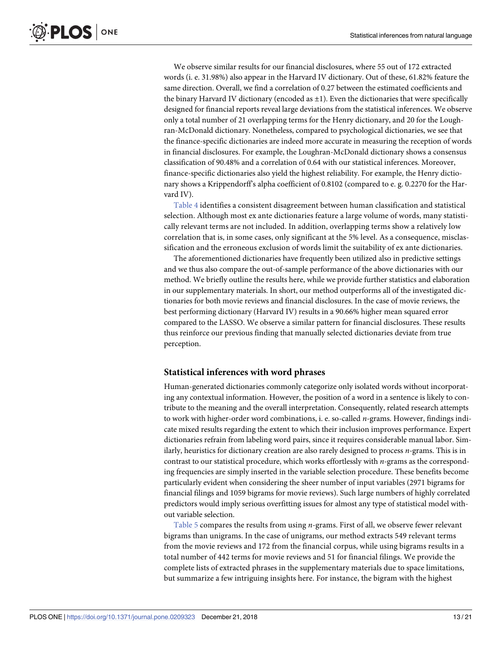<span id="page-13-0"></span>We observe similar results for our financial disclosures, where 55 out of 172 extracted words (i. e. 31.98%) also appear in the Harvard IV dictionary. Out of these, 61.82% feature the same direction. Overall, we find a correlation of 0.27 between the estimated coefficients and the binary Harvard IV dictionary (encoded as  $\pm 1$ ). Even the dictionaries that were specifically designed for financial reports reveal large deviations from the statistical inferences. We observe only a total number of 21 overlapping terms for the Henry dictionary, and 20 for the Loughran-McDonald dictionary. Nonetheless, compared to psychological dictionaries, we see that the finance-specific dictionaries are indeed more accurate in measuring the reception of words in financial disclosures. For example, the Loughran-McDonald dictionary shows a consensus classification of 90.48% and a correlation of 0.64 with our statistical inferences. Moreover, finance-specific dictionaries also yield the highest reliability. For example, the Henry dictionary shows a Krippendorff's alpha coefficient of 0.8102 (compared to e. g. 0.2270 for the Harvard IV).

[Table](#page-12-0) 4 identifies a consistent disagreement between human classification and statistical selection. Although most ex ante dictionaries feature a large volume of words, many statistically relevant terms are not included. In addition, overlapping terms show a relatively low correlation that is, in some cases, only significant at the 5% level. As a consequence, misclassification and the erroneous exclusion of words limit the suitability of ex ante dictionaries.

The aforementioned dictionaries have frequently been utilized also in predictive settings and we thus also compare the out-of-sample performance of the above dictionaries with our method. We briefly outline the results here, while we provide further statistics and elaboration in our supplementary materials. In short, our method outperforms all of the investigated dictionaries for both movie reviews and financial disclosures. In the case of movie reviews, the best performing dictionary (Harvard IV) results in a 90.66% higher mean squared error compared to the LASSO. We observe a similar pattern for financial disclosures. These results thus reinforce our previous finding that manually selected dictionaries deviate from true perception.

#### **Statistical inferences with word phrases**

Human-generated dictionaries commonly categorize only isolated words without incorporating any contextual information. However, the position of a word in a sentence is likely to contribute to the meaning and the overall interpretation. Consequently, related research attempts to work with higher-order word combinations, i. e. so-called *n*-grams. However, findings indicate mixed results regarding the extent to which their inclusion improves performance. Expert dictionaries refrain from labeling word pairs, since it requires considerable manual labor. Similarly, heuristics for dictionary creation are also rarely designed to process *n*-grams. This is in contrast to our statistical procedure, which works effortlessly with *n*-grams as the corresponding frequencies are simply inserted in the variable selection procedure. These benefits become particularly evident when considering the sheer number of input variables (2971 bigrams for financial filings and 1059 bigrams for movie reviews). Such large numbers of highly correlated predictors would imply serious overfitting issues for almost any type of statistical model without variable selection.

[Table](#page-14-0) 5 compares the results from using *n*-grams. First of all, we observe fewer relevant bigrams than unigrams. In the case of unigrams, our method extracts 549 relevant terms from the movie reviews and 172 from the financial corpus, while using bigrams results in a total number of 442 terms for movie reviews and 51 for financial filings. We provide the complete lists of extracted phrases in the supplementary materials due to space limitations, but summarize a few intriguing insights here. For instance, the bigram with the highest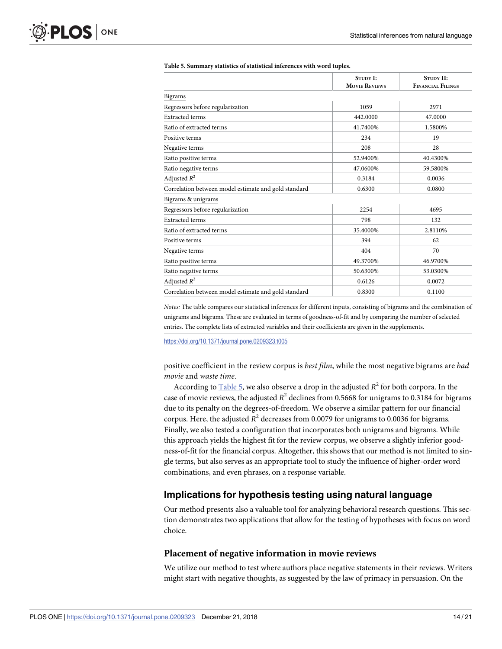<span id="page-14-0"></span>

|                                                      | STUDY I:<br><b>MOVIE REVIEWS</b> | <b>STUDY II:</b><br><b>FINANCIAL FILINGS</b> |
|------------------------------------------------------|----------------------------------|----------------------------------------------|
| <b>Bigrams</b>                                       |                                  |                                              |
| Regressors before regularization                     | 1059                             | 2971                                         |
| <b>Extracted terms</b>                               | 442.0000                         | 47.0000                                      |
| Ratio of extracted terms                             | 41.7400%                         | 1.5800%                                      |
| Positive terms                                       | 234                              | 19                                           |
| Negative terms                                       | 208                              | 28                                           |
| Ratio positive terms                                 | 52.9400%                         | 40.4300%                                     |
| Ratio negative terms                                 | 47.0600%                         | 59.5800%                                     |
| Adjusted $R^2$                                       | 0.3184                           | 0.0036                                       |
| Correlation between model estimate and gold standard | 0.6300                           | 0.0800                                       |
| Bigrams & unigrams                                   |                                  |                                              |
| Regressors before regularization                     | 2254                             | 4695                                         |
| <b>Extracted terms</b>                               | 798                              | 132                                          |
| Ratio of extracted terms                             | 35.4000%                         | 2.8110%                                      |
| Positive terms                                       | 394                              | 62                                           |
| Negative terms                                       | 404                              | 70                                           |
| Ratio positive terms                                 | 49.3700%                         | 46.9700%                                     |
| Ratio negative terms                                 | 50.6300%                         | 53.0300%                                     |
| Adjusted $R^2$                                       | 0.6126                           | 0.0072                                       |
| Correlation between model estimate and gold standard | 0.8300                           | 0.1100                                       |

#### **[Table](#page-13-0) 5. Summary statistics of statistical inferences with word tuples.**

*Notes:* The table compares our statistical inferences for different inputs, consisting of bigrams and the combination of unigrams and bigrams. These are evaluated in terms of goodness-of-fit and by comparing the number of selected entries. The complete lists of extracted variables and their coefficients are given in the supplements.

<https://doi.org/10.1371/journal.pone.0209323.t005>

positive coefficient in the review corpus is *best film*, while the most negative bigrams are *bad movie* and *waste time*.

According to Table 5, we also observe a drop in the adjusted  $R^2$  for both corpora. In the case of movie reviews, the adjusted  $R^2$  declines from 0.5668 for unigrams to 0.3184 for bigrams due to its penalty on the degrees-of-freedom. We observe a similar pattern for our financial corpus. Here, the adjusted  $R^2$  decreases from 0.0079 for unigrams to 0.0036 for bigrams. Finally, we also tested a configuration that incorporates both unigrams and bigrams. While this approach yields the highest fit for the review corpus, we observe a slightly inferior goodness-of-fit for the financial corpus. Altogether, this shows that our method is not limited to single terms, but also serves as an appropriate tool to study the influence of higher-order word combinations, and even phrases, on a response variable.

#### **Implications for hypothesis testing using natural language**

Our method presents also a valuable tool for analyzing behavioral research questions. This section demonstrates two applications that allow for the testing of hypotheses with focus on word choice.

#### **Placement of negative information in movie reviews**

We utilize our method to test where authors place negative statements in their reviews. Writers might start with negative thoughts, as suggested by the law of primacy in persuasion. On the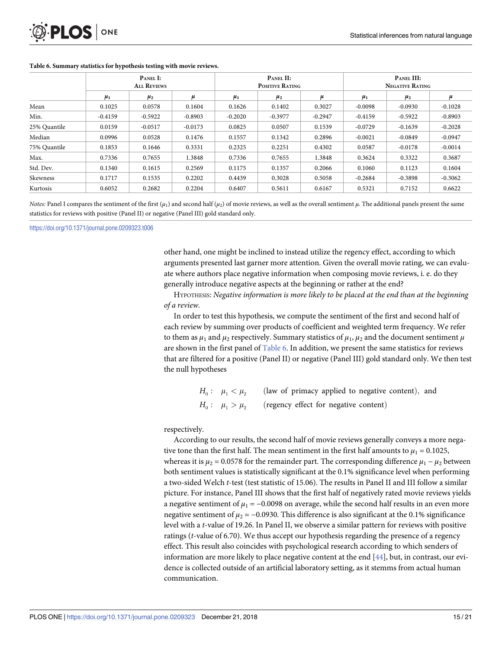|              | PANEL I:<br><b>ALL REVIEWS</b> |           |           | PANEL II:<br><b>POSITIVE RATING</b> |           |           | PANEL III:<br><b>NEGATIVE RATING</b> |           |           |
|--------------|--------------------------------|-----------|-----------|-------------------------------------|-----------|-----------|--------------------------------------|-----------|-----------|
|              | $\mu_1$                        | $\mu_2$   | $\mu$     | $\mu_1$                             | $\mu_2$   | $\mu$     | $\mu_1$                              | $\mu_2$   | $\mu$     |
| Mean         | 0.1025                         | 0.0578    | 0.1604    | 0.1626                              | 0.1402    | 0.3027    | $-0.0098$                            | $-0.0930$ | $-0.1028$ |
| Min.         | $-0.4159$                      | $-0.5922$ | $-0.8903$ | $-0.2020$                           | $-0.3977$ | $-0.2947$ | $-0.4159$                            | $-0.5922$ | $-0.8903$ |
| 25% Quantile | 0.0159                         | $-0.0517$ | $-0.0173$ | 0.0825                              | 0.0507    | 0.1539    | $-0.0729$                            | $-0.1639$ | $-0.2028$ |
| Median       | 0.0996                         | 0.0528    | 0.1476    | 0.1557                              | 0.1342    | 0.2896    | $-0.0021$                            | $-0.0849$ | $-0.0947$ |
| 75% Quantile | 0.1853                         | 0.1646    | 0.3331    | 0.2325                              | 0.2251    | 0.4302    | 0.0587                               | $-0.0178$ | $-0.0014$ |
| Max.         | 0.7336                         | 0.7655    | 1.3848    | 0.7336                              | 0.7655    | 1.3848    | 0.3624                               | 0.3322    | 0.3687    |
| Std. Dev.    | 0.1340                         | 0.1615    | 0.2569    | 0.1175                              | 0.1357    | 0.2066    | 0.1060                               | 0.1123    | 0.1604    |
| Skewness     | 0.1717                         | 0.1535    | 0.2202    | 0.4439                              | 0.3028    | 0.5058    | $-0.2684$                            | $-0.3898$ | $-0.3062$ |
| Kurtosis     | 0.6052                         | 0.2682    | 0.2204    | 0.6407                              | 0.5611    | 0.6167    | 0.5321                               | 0.7152    | 0.6622    |

#### <span id="page-15-0"></span>**Table 6. Summary statistics for hypothesis testing with movie reviews.**

*Notes:* Panel I compares the sentiment of the first ( $\mu_1$ ) and second half ( $\mu_2$ ) of movie reviews, as well as the overall sentiment  $\mu$ . The additional panels present the same statistics for reviews with positive (Panel II) or negative (Panel III) gold standard only.

<https://doi.org/10.1371/journal.pone.0209323.t006>

other hand, one might be inclined to instead utilize the regency effect, according to which arguments presented last garner more attention. Given the overall movie rating, we can evaluate where authors place negative information when composing movie reviews, i. e. do they generally introduce negative aspects at the beginning or rather at the end?

HYPOTHESIS: *Negative information is more likely to be placed at the end than at the beginning of a review.*

In order to test this hypothesis, we compute the sentiment of the first and second half of each review by summing over products of coefficient and weighted term frequency. We refer to them as  $\mu_1$  and  $\mu_2$  respectively. Summary statistics of  $\mu_1$ ,  $\mu_2$  and the document sentiment  $\mu$ are shown in the first panel of Table 6. In addition, we present the same statistics for reviews that are filtered for a positive (Panel II) or negative (Panel III) gold standard only. We then test the null hypotheses

| $H_0: \mu_1 < \mu_2$ | (law of primacy applied to negative content), and |
|----------------------|---------------------------------------------------|
| $H_0: \mu_1 > \mu_2$ | (regency effect for negative content)             |

respectively.

According to our results, the second half of movie reviews generally conveys a more negative tone than the first half. The mean sentiment in the first half amounts to  $\mu_1 = 0.1025$ , whereas it is  $\mu_2$  = 0.0578 for the remainder part. The corresponding difference  $\mu_1 - \mu_2$  between both sentiment values is statistically significant at the 0.1% significance level when performing a two-sided Welch *t*-test (test statistic of 15.06). The results in Panel II and III follow a similar picture. For instance, Panel III shows that the first half of negatively rated movie reviews yields a negative sentiment of  $\mu_1 = -0.0098$  on average, while the second half results in an even more negative sentiment of  $\mu_2 = -0.0930$ . This difference is also significant at the 0.1% significance level with a *t*-value of 19.26. In Panel II, we observe a similar pattern for reviews with positive ratings (*t*-value of 6.70). We thus accept our hypothesis regarding the presence of a regency effect. This result also coincides with psychological research according to which senders of information are more likely to place negative content at the end [[44](#page-21-0)], but, in contrast, our evidence is collected outside of an artificial laboratory setting, as it stemms from actual human communication.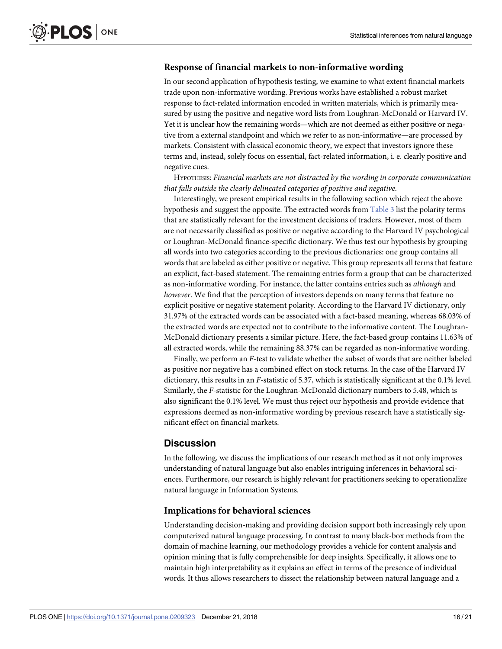#### **Response of financial markets to non-informative wording**

In our second application of hypothesis testing, we examine to what extent financial markets trade upon non-informative wording. Previous works have established a robust market response to fact-related information encoded in written materials, which is primarily measured by using the positive and negative word lists from Loughran-McDonald or Harvard IV. Yet it is unclear how the remaining words—which are not deemed as either positive or negative from a external standpoint and which we refer to as non-informative—are processed by markets. Consistent with classical economic theory, we expect that investors ignore these terms and, instead, solely focus on essential, fact-related information, i. e. clearly positive and negative cues.

HYPOTHESIS: *Financial markets are not distracted by the wording in corporate communication that falls outside the clearly delineated categories of positive and negative.*

Interestingly, we present empirical results in the following section which reject the above hypothesis and suggest the opposite. The extracted words from [Table](#page-11-0) 3 list the polarity terms that are statistically relevant for the investment decisions of traders. However, most of them are not necessarily classified as positive or negative according to the Harvard IV psychological or Loughran-McDonald finance-specific dictionary. We thus test our hypothesis by grouping all words into two categories according to the previous dictionaries: one group contains all words that are labeled as either positive or negative. This group represents all terms that feature an explicit, fact-based statement. The remaining entries form a group that can be characterized as non-informative wording. For instance, the latter contains entries such as *although* and *however*. We find that the perception of investors depends on many terms that feature no explicit positive or negative statement polarity. According to the Harvard IV dictionary, only 31.97% of the extracted words can be associated with a fact-based meaning, whereas 68.03% of the extracted words are expected not to contribute to the informative content. The Loughran-McDonald dictionary presents a similar picture. Here, the fact-based group contains 11.63% of all extracted words, while the remaining 88.37% can be regarded as non-informative wording.

Finally, we perform an *F*-test to validate whether the subset of words that are neither labeled as positive nor negative has a combined effect on stock returns. In the case of the Harvard IV dictionary, this results in an *F*-statistic of 5.37, which is statistically significant at the 0.1% level. Similarly, the *F*-statistic for the Loughran-McDonald dictionary numbers to 5.48, which is also significant the 0.1% level. We must thus reject our hypothesis and provide evidence that expressions deemed as non-informative wording by previous research have a statistically significant effect on financial markets.

#### **Discussion**

In the following, we discuss the implications of our research method as it not only improves understanding of natural language but also enables intriguing inferences in behavioral sciences. Furthermore, our research is highly relevant for practitioners seeking to operationalize natural language in Information Systems.

#### **Implications for behavioral sciences**

Understanding decision-making and providing decision support both increasingly rely upon computerized natural language processing. In contrast to many black-box methods from the domain of machine learning, our methodology provides a vehicle for content analysis and opinion mining that is fully comprehensible for deep insights. Specifically, it allows one to maintain high interpretability as it explains an effect in terms of the presence of individual words. It thus allows researchers to dissect the relationship between natural language and a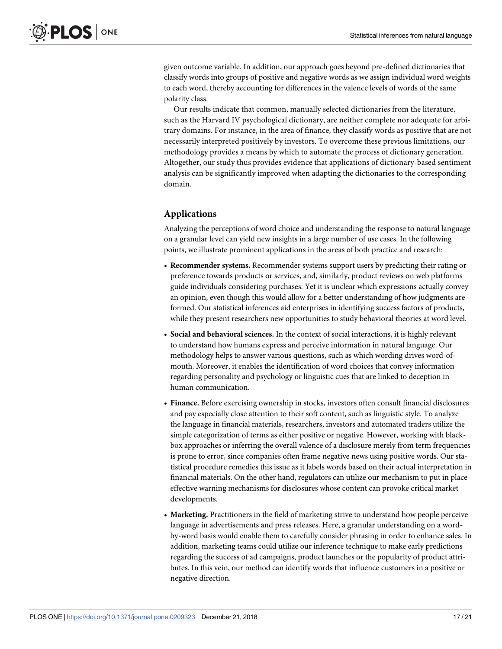given outcome variable. In addition, our approach goes beyond pre-defined dictionaries that classify words into groups of positive and negative words as we assign individual word weights to each word, thereby accounting for differences in the valence levels of words of the same polarity class.

Our results indicate that common, manually selected dictionaries from the literature, such as the Harvard IV psychological dictionary, are neither complete nor adequate for arbitrary domains. For instance, in the area of finance, they classify words as positive that are not necessarily interpreted positively by investors. To overcome these previous limitations, our methodology provides a means by which to automate the process of dictionary generation. Altogether, our study thus provides evidence that applications of dictionary-based sentiment analysis can be significantly improved when adapting the dictionaries to the corresponding domain.

#### **Applications**

Analyzing the perceptions of word choice and understanding the response to natural language on a granular level can yield new insights in a large number of use cases. In the following points, we illustrate prominent applications in the areas of both practice and research:

- **Recommender systems.** Recommender systems support users by predicting their rating or preference towards products or services, and, similarly, product reviews on web platforms guide individuals considering purchases. Yet it is unclear which expressions actually convey an opinion, even though this would allow for a better understanding of how judgments are formed. Our statistical inferences aid enterprises in identifying success factors of products, while they present researchers new opportunities to study behavioral theories at word level.
- **Social and behavioral sciences.** In the context of social interactions, it is highly relevant to understand how humans express and perceive information in natural language. Our methodology helps to answer various questions, such as which wording drives word-ofmouth. Moreover, it enables the identification of word choices that convey information regarding personality and psychology or linguistic cues that are linked to deception in human communication.
- **Finance.** Before exercising ownership in stocks, investors often consult financial disclosures and pay especially close attention to their soft content, such as linguistic style. To analyze the language in financial materials, researchers, investors and automated traders utilize the simple categorization of terms as either positive or negative. However, working with blackbox approaches or inferring the overall valence of a disclosure merely from term frequencies is prone to error, since companies often frame negative news using positive words. Our statistical procedure remedies this issue as it labels words based on their actual interpretation in financial materials. On the other hand, regulators can utilize our mechanism to put in place effective warning mechanisms for disclosures whose content can provoke critical market developments.
- **Marketing.** Practitioners in the field of marketing strive to understand how people perceive language in advertisements and press releases. Here, a granular understanding on a wordby-word basis would enable them to carefully consider phrasing in order to enhance sales. In addition, marketing teams could utilize our inference technique to make early predictions regarding the success of ad campaigns, product launches or the popularity of product attributes. In this vein, our method can identify words that influence customers in a positive or negative direction.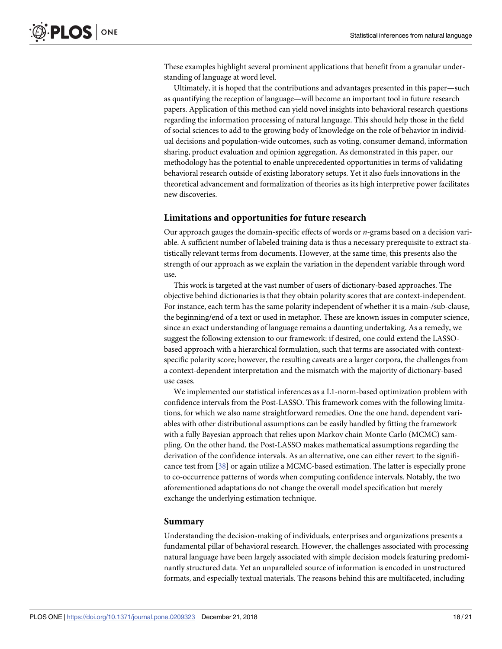These examples highlight several prominent applications that benefit from a granular understanding of language at word level.

Ultimately, it is hoped that the contributions and advantages presented in this paper—such as quantifying the reception of language—will become an important tool in future research papers. Application of this method can yield novel insights into behavioral research questions regarding the information processing of natural language. This should help those in the field of social sciences to add to the growing body of knowledge on the role of behavior in individual decisions and population-wide outcomes, such as voting, consumer demand, information sharing, product evaluation and opinion aggregation. As demonstrated in this paper, our methodology has the potential to enable unprecedented opportunities in terms of validating behavioral research outside of existing laboratory setups. Yet it also fuels innovations in the theoretical advancement and formalization of theories as its high interpretive power facilitates new discoveries.

#### **Limitations and opportunities for future research**

Our approach gauges the domain-specific effects of words or *n*-grams based on a decision variable. A sufficient number of labeled training data is thus a necessary prerequisite to extract statistically relevant terms from documents. However, at the same time, this presents also the strength of our approach as we explain the variation in the dependent variable through word use.

This work is targeted at the vast number of users of dictionary-based approaches. The objective behind dictionaries is that they obtain polarity scores that are context-independent. For instance, each term has the same polarity independent of whether it is a main-/sub-clause, the beginning/end of a text or used in metaphor. These are known issues in computer science, since an exact understanding of language remains a daunting undertaking. As a remedy, we suggest the following extension to our framework: if desired, one could extend the LASSObased approach with a hierarchical formulation, such that terms are associated with contextspecific polarity score; however, the resulting caveats are a larger corpora, the challenges from a context-dependent interpretation and the mismatch with the majority of dictionary-based use cases.

We implemented our statistical inferences as a L1-norm-based optimization problem with confidence intervals from the Post-LASSO. This framework comes with the following limitations, for which we also name straightforward remedies. One the one hand, dependent variables with other distributional assumptions can be easily handled by fitting the framework with a fully Bayesian approach that relies upon Markov chain Monte Carlo (MCMC) sampling. On the other hand, the Post-LASSO makes mathematical assumptions regarding the derivation of the confidence intervals. As an alternative, one can either revert to the significance test from [\[38\]](#page-21-0) or again utilize a MCMC-based estimation. The latter is especially prone to co-occurrence patterns of words when computing confidence intervals. Notably, the two aforementioned adaptations do not change the overall model specification but merely exchange the underlying estimation technique.

#### **Summary**

Understanding the decision-making of individuals, enterprises and organizations presents a fundamental pillar of behavioral research. However, the challenges associated with processing natural language have been largely associated with simple decision models featuring predominantly structured data. Yet an unparalleled source of information is encoded in unstructured formats, and especially textual materials. The reasons behind this are multifaceted, including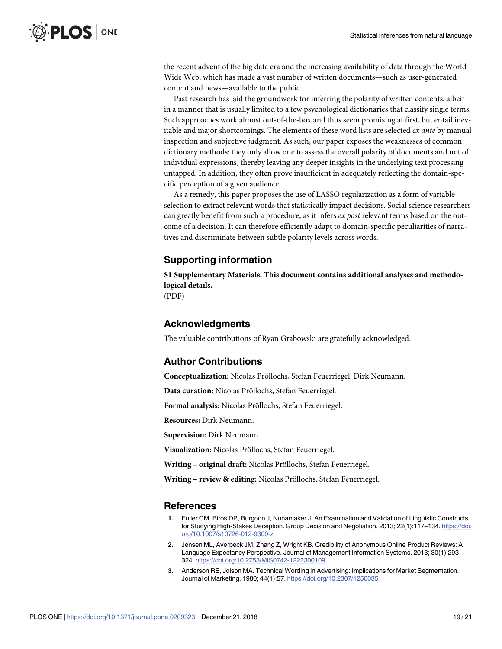<span id="page-19-0"></span>the recent advent of the big data era and the increasing availability of data through the World Wide Web, which has made a vast number of written documents—such as user-generated content and news—available to the public.

Past research has laid the groundwork for inferring the polarity of written contents, albeit in a manner that is usually limited to a few psychological dictionaries that classify single terms. Such approaches work almost out-of-the-box and thus seem promising at first, but entail inevitable and major shortcomings. The elements of these word lists are selected *ex ante* by manual inspection and subjective judgment. As such, our paper exposes the weaknesses of common dictionary methods: they only allow one to assess the overall polarity of documents and not of individual expressions, thereby leaving any deeper insights in the underlying text processing untapped. In addition, they often prove insufficient in adequately reflecting the domain-specific perception of a given audience.

As a remedy, this paper proposes the use of LASSO regularization as a form of variable selection to extract relevant words that statistically impact decisions. Social science researchers can greatly benefit from such a procedure, as it infers *ex post* relevant terms based on the outcome of a decision. It can therefore efficiently adapt to domain-specific peculiarities of narratives and discriminate between subtle polarity levels across words.

#### **Supporting information**

**S1 [Supplementary](http://www.plosone.org/article/fetchSingleRepresentation.action?uri=info:doi/10.1371/journal.pone.0209323.s001) Materials. This document contains additional analyses and methodological details.**

(PDF)

#### **Acknowledgments**

The valuable contributions of Ryan Grabowski are gratefully acknowledged.

#### **Author Contributions**

**Conceptualization:** Nicolas Pröllochs, Stefan Feuerriegel, Dirk Neumann.

**Data curation:** Nicolas Pröllochs, Stefan Feuerriegel.

Formal analysis: Nicolas Pröllochs, Stefan Feuerriegel.

**Resources:** Dirk Neumann.

**Supervision:** Dirk Neumann.

Visualization: Nicolas Pröllochs, Stefan Feuerriegel.

**Writing** – **original draft:** Nicolas Pröllochs, Stefan Feuerriegel.

**Writing – review & editing:** Nicolas Pröllochs, Stefan Feuerriegel.

#### **References**

- **[1](#page-1-0).** Fuller CM, Biros DP, Burgoon J, Nunamaker J. An Examination and Validation of Linguistic Constructs for Studying High-Stakes Deception. Group Decision and Negotiation. 2013; 22(1):117–134. [https://doi.](https://doi.org/10.1007/s10726-012-9300-z) [org/10.1007/s10726-012-9300-z](https://doi.org/10.1007/s10726-012-9300-z)
- **[2](#page-1-0).** Jensen ML, Averbeck JM, Zhang Z, Wright KB. Credibility of Anonymous Online Product Reviews: A Language Expectancy Perspective. Journal of Management Information Systems. 2013; 30(1):293– 324. <https://doi.org/10.2753/MIS0742-1222300109>
- **[3](#page-1-0).** Anderson RE, Jolson MA. Technical Wording in Advertising: Implications for Market Segmentation. Journal of Marketing. 1980; 44(1):57. <https://doi.org/10.2307/1250035>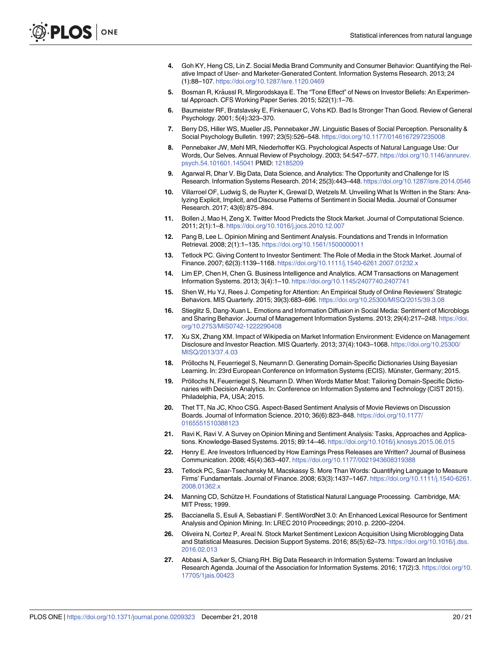- <span id="page-20-0"></span>**[4](#page-1-0).** Goh KY, Heng CS, Lin Z. Social Media Brand Community and Consumer Behavior: Quantifying the Relative Impact of User- and Marketer-Generated Content. Information Systems Research. 2013; 24 (1):88–107. <https://doi.org/10.1287/isre.1120.0469>
- **[5](#page-1-0).** Bosman R, Kräussl R, Mirgorodskaya E. The "Tone Effect" of News on Investor Beliefs: An Experimental Approach. CFS Working Paper Series. 2015; 522(1):1–76.
- **[6](#page-1-0).** Baumeister RF, Bratslavsky E, Finkenauer C, Vohs KD. Bad Is Stronger Than Good. Review of General Psychology. 2001; 5(4):323–370.
- **[7](#page-1-0).** Berry DS, Hiller WS, Mueller JS, Pennebaker JW. Linguistic Bases of Social Perception. Personality & Social Psychology Bulletin. 1997; 23(5):526–548. <https://doi.org/10.1177/0146167297235008>
- **[8](#page-2-0).** Pennebaker JW, Mehl MR, Niederhoffer KG. Psychological Aspects of Natural Language Use: Our Words, Our Selves. Annual Review of Psychology. 2003; 54:547–577. [https://doi.org/10.1146/annurev.](https://doi.org/10.1146/annurev.psych.54.101601.145041) [psych.54.101601.145041](https://doi.org/10.1146/annurev.psych.54.101601.145041) PMID: [12185209](http://www.ncbi.nlm.nih.gov/pubmed/12185209)
- **[9](#page-2-0).** Agarwal R, Dhar V. Big Data, Data Science, and Analytics: The Opportunity and Challenge for IS Research. Information Systems Research. 2014; 25(3):443–448. <https://doi.org/10.1287/isre.2014.0546>
- **[10](#page-2-0).** Villarroel OF, Ludwig S, de Ruyter K, Grewal D, Wetzels M. Unveiling What Is Written in the Stars: Analyzing Explicit, Implicit, and Discourse Patterns of Sentiment in Social Media. Journal of Consumer Research. 2017; 43(6):875–894.
- **[11](#page-2-0).** Bollen J, Mao H, Zeng X. Twitter Mood Predicts the Stock Market. Journal of Computational Science. 2011; 2(1):1–8. <https://doi.org/10.1016/j.jocs.2010.12.007>
- **[12](#page-2-0).** Pang B, Lee L. Opinion Mining and Sentiment Analysis. Foundations and Trends in Information Retrieval. 2008; 2(1):1–135. <https://doi.org/10.1561/1500000011>
- **[13](#page-2-0).** Tetlock PC. Giving Content to Investor Sentiment: The Role of Media in the Stock Market. Journal of Finance. 2007; 62(3):1139–1168. <https://doi.org/10.1111/j.1540-6261.2007.01232.x>
- **[14](#page-2-0).** Lim EP, Chen H, Chen G. Business Intelligence and Analytics. ACM Transactions on Management Information Systems. 2013; 3(4):1–10. <https://doi.org/10.1145/2407740.2407741>
- **[15](#page-2-0).** Shen W, Hu YJ, Rees J. Competing for Attention: An Empirical Study of Online Reviewers' Strategic Behaviors. MIS Quarterly. 2015; 39(3):683–696. <https://doi.org/10.25300/MISQ/2015/39.3.08>
- **[16](#page-2-0).** Stieglitz S, Dang-Xuan L. Emotions and Information Diffusion in Social Media: Sentiment of Microblogs and Sharing Behavior. Journal of Management Information Systems. 2013; 29(4):217–248. [https://doi.](https://doi.org/10.2753/MIS0742-1222290408) [org/10.2753/MIS0742-1222290408](https://doi.org/10.2753/MIS0742-1222290408)
- **[17](#page-2-0).** Xu SX, Zhang XM. Impact of Wikipedia on Market Information Environment: Evidence on Management Disclosure and Investor Reaction. MIS Quarterly. 2013; 37(4):1043–1068. [https://doi.org/10.25300/](https://doi.org/10.25300/MISQ/2013/37.4.03) [MISQ/2013/37.4.03](https://doi.org/10.25300/MISQ/2013/37.4.03)
- **[18](#page-2-0).** Pröllochs N, Feuerriegel S, Neumann D. Generating Domain-Specific Dictionaries Using Bayesian Learning. In: 23rd European Conference on Information Systems (ECIS). Münster, Germany; 2015.
- **[19](#page-2-0).** Pröllochs N, Feuerriegel S, Neumann D, When Words Matter Most: Tailoring Domain-Specific Dictionaries with Decision Analytics. In: Conference on Information Systems and Technology (CIST 2015). Philadelphia, PA, USA; 2015.
- **[20](#page-3-0).** Thet TT, Na JC, Khoo CSG. Aspect-Based Sentiment Analysis of Movie Reviews on Discussion Boards. Journal of Information Science. 2010; 36(6):823–848. [https://doi.org/10.1177/](https://doi.org/10.1177/0165551510388123) [0165551510388123](https://doi.org/10.1177/0165551510388123)
- **[21](#page-3-0).** Ravi K, Ravi V. A Survey on Opinion Mining and Sentiment Analysis: Tasks, Approaches and Applications. Knowledge-Based Systems. 2015; 89:14–46. <https://doi.org/10.1016/j.knosys.2015.06.015>
- **[22](#page-3-0).** Henry E. Are Investors Influenced by How Earnings Press Releases are Written? Journal of Business Communication. 2008; 45(4):363–407. <https://doi.org/10.1177/0021943608319388>
- **[23](#page-3-0).** Tetlock PC, Saar-Tsechansky M, Macskassy S. More Than Words: Quantifying Language to Measure Firms' Fundamentals. Journal of Finance. 2008; 63(3):1437–1467. [https://doi.org/10.1111/j.1540-6261.](https://doi.org/10.1111/j.1540-6261.2008.01362.x) [2008.01362.x](https://doi.org/10.1111/j.1540-6261.2008.01362.x)
- [24](#page-3-0). Manning CD, Schütze H. Foundations of Statistical Natural Language Processing. Cambridge, MA: MIT Press; 1999.
- **[25](#page-4-0).** Baccianella S, Esuli A, Sebastiani F. SentiWordNet 3.0: An Enhanced Lexical Resource for Sentiment Analysis and Opinion Mining. In: LREC 2010 Proceedings; 2010. p. 2200–2204.
- **[26](#page-4-0).** Oliveira N, Cortez P, Areal N. Stock Market Sentiment Lexicon Acquisition Using Microblogging Data and Statistical Measures. Decision Support Systems. 2016; 85(5):62–73. [https://doi.org/10.1016/j.dss.](https://doi.org/10.1016/j.dss.2016.02.013) [2016.02.013](https://doi.org/10.1016/j.dss.2016.02.013)
- **[27](#page-4-0).** Abbasi A, Sarker S, Chiang RH. Big Data Research in Information Systems: Toward an Inclusive Research Agenda. Journal of the Association for Information Systems. 2016; 17(2):3. [https://doi.org/10.](https://doi.org/10.17705/1jais.00423) [17705/1jais.00423](https://doi.org/10.17705/1jais.00423)